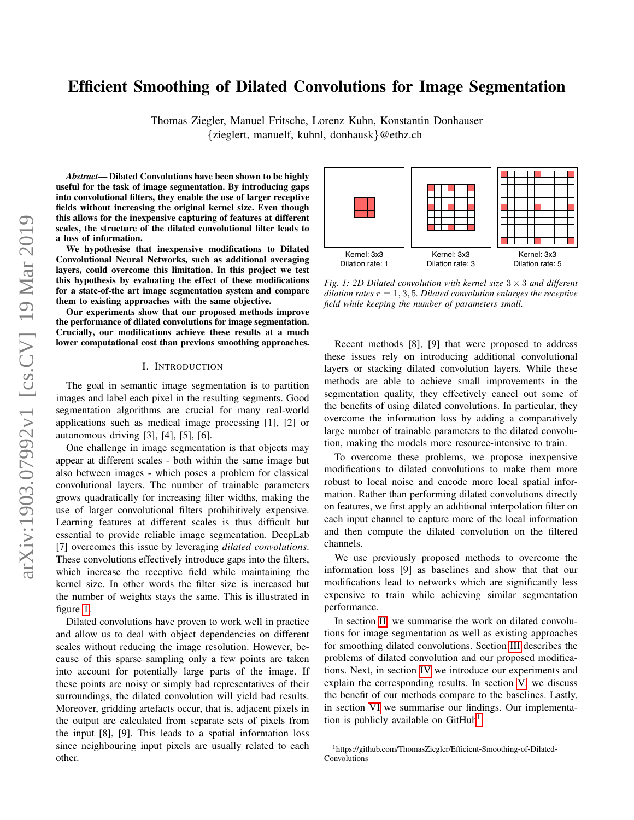# Efficient Smoothing of Dilated Convolutions for Image Segmentation

Thomas Ziegler, Manuel Fritsche, Lorenz Kuhn, Konstantin Donhauser {zieglert, manuelf, kuhnl, donhausk}@ethz.ch

*Abstract*— Dilated Convolutions have been shown to be highly useful for the task of image segmentation. By introducing gaps into convolutional filters, they enable the use of larger receptive fields without increasing the original kernel size. Even though this allows for the inexpensive capturing of features at different scales, the structure of the dilated convolutional filter leads to a loss of information.

We hypothesise that inexpensive modifications to Dilated Convolutional Neural Networks, such as additional averaging layers, could overcome this limitation. In this project we test this hypothesis by evaluating the effect of these modifications for a state-of-the art image segmentation system and compare them to existing approaches with the same objective.

Our experiments show that our proposed methods improve the performance of dilated convolutions for image segmentation. Crucially, our modifications achieve these results at a much lower computational cost than previous smoothing approaches.

#### I. INTRODUCTION

The goal in semantic image segmentation is to partition images and label each pixel in the resulting segments. Good segmentation algorithms are crucial for many real-world applications such as medical image processing [1], [2] or autonomous driving [3], [4], [5], [6].

One challenge in image segmentation is that objects may appear at different scales - both within the same image but also between images - which poses a problem for classical convolutional layers. The number of trainable parameters grows quadratically for increasing filter widths, making the use of larger convolutional filters prohibitively expensive. Learning features at different scales is thus difficult but essential to provide reliable image segmentation. DeepLab [7] overcomes this issue by leveraging *dilated convolutions*. These convolutions effectively introduce gaps into the filters, which increase the receptive field while maintaining the kernel size. In other words the filter size is increased but the number of weights stays the same. This is illustrated in figure [1.](#page-0-0)

Dilated convolutions have proven to work well in practice and allow us to deal with object dependencies on different scales without reducing the image resolution. However, because of this sparse sampling only a few points are taken into account for potentially large parts of the image. If these points are noisy or simply bad representatives of their surroundings, the dilated convolution will yield bad results. Moreover, gridding artefacts occur, that is, adjacent pixels in the output are calculated from separate sets of pixels from the input [8], [9]. This leads to a spatial information loss since neighbouring input pixels are usually related to each other.

<span id="page-0-0"></span>

*Fig. 1: 2D Dilated convolution with kernel size* 3 × 3 *and different dilation rates*  $r = 1, 3, 5$ *. Dilated convolution enlarges the receptive field while keeping the number of parameters small.*

Recent methods [8], [9] that were proposed to address these issues rely on introducing additional convolutional layers or stacking dilated convolution layers. While these methods are able to achieve small improvements in the segmentation quality, they effectively cancel out some of the benefits of using dilated convolutions. In particular, they overcome the information loss by adding a comparatively large number of trainable parameters to the dilated convolution, making the models more resource-intensive to train.

To overcome these problems, we propose inexpensive modifications to dilated convolutions to make them more robust to local noise and encode more local spatial information. Rather than performing dilated convolutions directly on features, we first apply an additional interpolation filter on each input channel to capture more of the local information and then compute the dilated convolution on the filtered channels.

We use previously proposed methods to overcome the information loss [9] as baselines and show that that our modifications lead to networks which are significantly less expensive to train while achieving similar segmentation performance.

In section [II,](#page-1-0) we summarise the work on dilated convolutions for image segmentation as well as existing approaches for smoothing dilated convolutions. Section [III](#page-1-1) describes the problems of dilated convolution and our proposed modifications. Next, in section [IV](#page-2-0) we introduce our experiments and explain the corresponding results. In section [V,](#page-4-0) we discuss the benefit of our methods compare to the baselines. Lastly, in section [VI](#page-4-1) we summarise our findings. Our implementa-tion is publicly available on GitHub<sup>[1](#page-0-1)</sup>.

<span id="page-0-1"></span><sup>1</sup>https://github.com/ThomasZiegler/Efficient-Smoothing-of-Dilated-Convolutions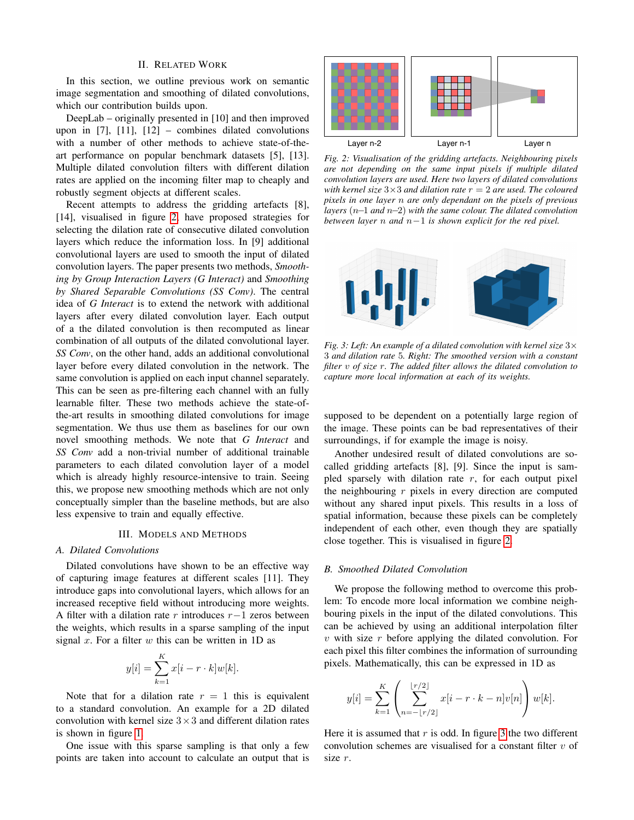#### II. RELATED WORK

<span id="page-1-0"></span>In this section, we outline previous work on semantic image segmentation and smoothing of dilated convolutions, which our contribution builds upon.

DeepLab – originally presented in [10] and then improved upon in  $[7]$ ,  $[11]$ ,  $[12]$  – combines dilated convolutions with a number of other methods to achieve state-of-theart performance on popular benchmark datasets [5], [13]. Multiple dilated convolution filters with different dilation rates are applied on the incoming filter map to cheaply and robustly segment objects at different scales.

Recent attempts to address the gridding artefacts [8], [14], visualised in figure [2,](#page-1-2) have proposed strategies for selecting the dilation rate of consecutive dilated convolution layers which reduce the information loss. In [9] additional convolutional layers are used to smooth the input of dilated convolution layers. The paper presents two methods, *Smoothing by Group Interaction Layers (G Interact)* and *Smoothing by Shared Separable Convolutions (SS Conv)*. The central idea of *G Interact* is to extend the network with additional layers after every dilated convolution layer. Each output of a the dilated convolution is then recomputed as linear combination of all outputs of the dilated convolutional layer. *SS Conv*, on the other hand, adds an additional convolutional layer before every dilated convolution in the network. The same convolution is applied on each input channel separately. This can be seen as pre-filtering each channel with an fully learnable filter. These two methods achieve the state-ofthe-art results in smoothing dilated convolutions for image segmentation. We thus use them as baselines for our own novel smoothing methods. We note that *G Interact* and *SS Conv* add a non-trivial number of additional trainable parameters to each dilated convolution layer of a model which is already highly resource-intensive to train. Seeing this, we propose new smoothing methods which are not only conceptually simpler than the baseline methods, but are also less expensive to train and equally effective.

### III. MODELS AND METHODS

#### <span id="page-1-1"></span>*A. Dilated Convolutions*

Dilated convolutions have shown to be an effective way of capturing image features at different scales [11]. They introduce gaps into convolutional layers, which allows for an increased receptive field without introducing more weights. A filter with a dilation rate r introduces  $r-1$  zeros between the weights, which results in a sparse sampling of the input signal  $x$ . For a filter  $w$  this can be written in 1D as

$$
y[i] = \sum_{k=1}^{K} x[i - r \cdot k] w[k].
$$

Note that for a dilation rate  $r = 1$  this is equivalent to a standard convolution. An example for a 2D dilated convolution with kernel size  $3 \times 3$  and different dilation rates is shown in figure [1.](#page-0-0)

One issue with this sparse sampling is that only a few points are taken into account to calculate an output that is

<span id="page-1-2"></span>

*Fig. 2: Visualisation of the gridding artefacts. Neighbouring pixels are not depending on the same input pixels if multiple dilated convolution layers are used. Here two layers of dilated convolutions with kernel size*  $3 \times 3$  *and dilation rate*  $r = 2$  *are used. The coloured pixels in one layer* n *are only dependant on the pixels of previous layers* (n−1 *and* n−2) *with the same colour. The dilated convolution between layer* n *and* n−1 *is shown explicit for the red pixel.*

<span id="page-1-3"></span>

*Fig. 3: Left: An example of a dilated convolution with kernel size* 3× 3 *and dilation rate* 5*. Right: The smoothed version with a constant filter* v *of size* r*. The added filter allows the dilated convolution to capture more local information at each of its weights.*

supposed to be dependent on a potentially large region of the image. These points can be bad representatives of their surroundings, if for example the image is noisy.

Another undesired result of dilated convolutions are socalled gridding artefacts [8], [9]. Since the input is sampled sparsely with dilation rate  $r$ , for each output pixel the neighbouring  $r$  pixels in every direction are computed without any shared input pixels. This results in a loss of spatial information, because these pixels can be completely independent of each other, even though they are spatially close together. This is visualised in figure [2.](#page-1-2)

## *B. Smoothed Dilated Convolution*

We propose the following method to overcome this problem: To encode more local information we combine neighbouring pixels in the input of the dilated convolutions. This can be achieved by using an additional interpolation filter  $v$  with size  $r$  before applying the dilated convolution. For each pixel this filter combines the information of surrounding pixels. Mathematically, this can be expressed in 1D as

$$
y[i] = \sum_{k=1}^{K} \left( \sum_{n=-\lfloor r/2 \rfloor}^{\lfloor r/2 \rfloor} x[i-r \cdot k - n] v[n] \right) w[k].
$$

Here it is assumed that  $r$  is odd. In figure [3](#page-1-3) the two different convolution schemes are visualised for a constant filter  $v$  of size r.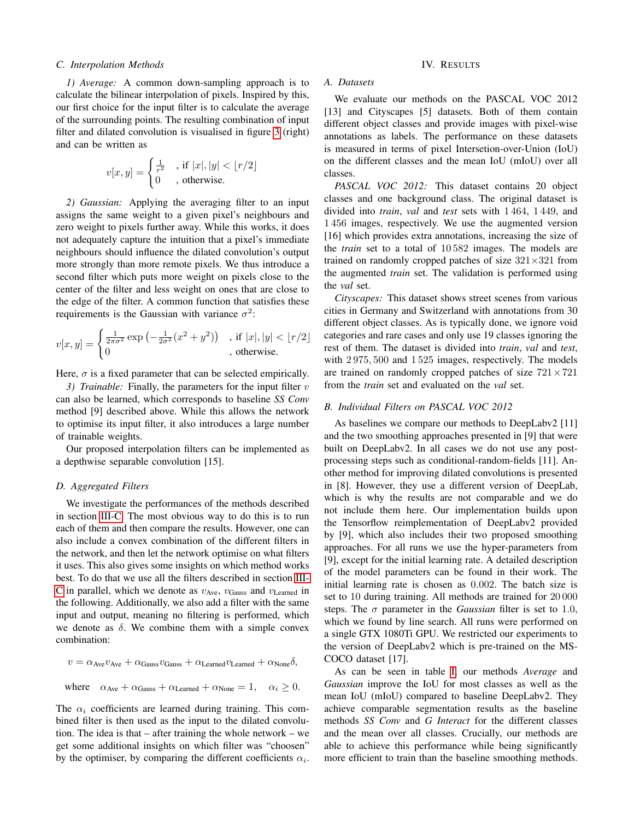#### <span id="page-2-1"></span>*C. Interpolation Methods*

*1) Average:* A common down-sampling approach is to calculate the bilinear interpolation of pixels. Inspired by this, our first choice for the input filter is to calculate the average of the surrounding points. The resulting combination of input filter and dilated convolution is visualised in figure [3](#page-1-3) (right) and can be written as

$$
v[x, y] = \begin{cases} \frac{1}{r^2} & \text{if } |x|, |y| < \lfloor r/2 \rfloor \\ 0 & \text{, otherwise.} \end{cases}
$$

*2) Gaussian:* Applying the averaging filter to an input assigns the same weight to a given pixel's neighbours and zero weight to pixels further away. While this works, it does not adequately capture the intuition that a pixel's immediate neighbours should influence the dilated convolution's output more strongly than more remote pixels. We thus introduce a second filter which puts more weight on pixels close to the center of the filter and less weight on ones that are close to the edge of the filter. A common function that satisfies these requirements is the Gaussian with variance  $\sigma^2$ :

$$
v[x,y] = \begin{cases} \frac{1}{2\pi\sigma^2} \exp\left(-\frac{1}{2\sigma^2}(x^2+y^2)\right) & \text{, if } |x|, |y| < \lfloor r/2 \rfloor \\ 0 & \text{, otherwise.} \end{cases}
$$

Here,  $\sigma$  is a fixed parameter that can be selected empirically.

*3) Trainable:* Finally, the parameters for the input filter v can also be learned, which corresponds to baseline *SS Conv* method [9] described above. While this allows the network to optimise its input filter, it also introduces a large number of trainable weights.

Our proposed interpolation filters can be implemented as a depthwise separable convolution [15].

#### <span id="page-2-2"></span>*D. Aggregated Filters*

We investigate the performances of the methods described in section [III-C.](#page-2-1) The most obvious way to do this is to run each of them and then compare the results. However, one can also include a convex combination of the different filters in the network, and then let the network optimise on what filters it uses. This also gives some insights on which method works best. To do that we use all the filters described in section [III-](#page-2-1)[C](#page-2-1) in parallel, which we denote as  $v_{\text{Ave}}$ ,  $v_{\text{Gauss}}$  and  $v_{\text{L earned}}$  in the following. Additionally, we also add a filter with the same input and output, meaning no filtering is performed, which we denote as  $\delta$ . We combine them with a simple convex combination:

$$
v = \alpha_{\text{Ave}} v_{\text{Ave}} + \alpha_{\text{Gauss}} v_{\text{Gauss}} + \alpha_{\text{L earned}} v_{\text{L earned}} + \alpha_{\text{None}} \delta,
$$
  
where  $\alpha_{\text{Ave}} + \alpha_{\text{Gauss}} + \alpha_{\text{L earned}} + \alpha_{\text{None}} = 1, \quad \alpha_i \ge 0.$ 

The  $\alpha_i$  coefficients are learned during training. This combined filter is then used as the input to the dilated convolution. The idea is that – after training the whole network – we get some additional insights on which filter was "choosen" by the optimiser, by comparing the different coefficients  $\alpha_i$ .

### <span id="page-2-0"></span>*A. Datasets*

We evaluate our methods on the PASCAL VOC 2012 [13] and Cityscapes [5] datasets. Both of them contain different object classes and provide images with pixel-wise annotations as labels. The performance on these datasets is measured in terms of pixel Intersetion-over-Union (IoU) on the different classes and the mean IoU (mIoU) over all classes.

*PASCAL VOC 2012:* This dataset contains 20 object classes and one background class. The original dataset is divided into *train*, *val* and *test* sets with 1 464, 1 449, and 1 456 images, respectively. We use the augmented version [16] which provides extra annotations, increasing the size of the *train* set to a total of 10 582 images. The models are trained on randomly cropped patches of size  $321 \times 321$  from the augmented *train* set. The validation is performed using the *val* set.

*Cityscapes:* This dataset shows street scenes from various cities in Germany and Switzerland with annotations from 30 different object classes. As is typically done, we ignore void categories and rare cases and only use 19 classes ignoring the rest of them. The dataset is divided into *train*, *val* and *test*, with 2975, 500 and 1525 images, respectively. The models are trained on randomly cropped patches of size  $721 \times 721$ from the *train* set and evaluated on the *val* set.

## <span id="page-2-3"></span>*B. Individual Filters on PASCAL VOC 2012*

As baselines we compare our methods to DeepLabv2 [11] and the two smoothing approaches presented in [9] that were built on DeepLabv2. In all cases we do not use any postprocessing steps such as conditional-random-fields [11]. Another method for improving dilated convolutions is presented in [8]. However, they use a different version of DeepLab, which is why the results are not comparable and we do not include them here. Our implementation builds upon the Tensorflow reimplementation of DeepLabv2 provided by [9], which also includes their two proposed smoothing approaches. For all runs we use the hyper-parameters from [9], except for the initial learning rate. A detailed description of the model parameters can be found in their work. The initial learning rate is chosen as 0.002. The batch size is set to 10 during training. All methods are trained for 20 000 steps. The  $\sigma$  parameter in the *Gaussian* filter is set to 1.0, which we found by line search. All runs were performed on a single GTX 1080Ti GPU. We restricted our experiments to the version of DeepLabv2 which is pre-trained on the MS-COCO dataset [17].

As can be seen in table [I,](#page-3-0) our methods *Average* and *Gaussian* improve the IoU for most classes as well as the mean IoU (mIoU) compared to baseline DeepLabv2. They achieve comparable segmentation results as the baseline methods *SS Conv* and *G Interact* for the different classes and the mean over all classes. Crucially, our methods are able to achieve this performance while being significantly more efficient to train than the baseline smoothing methods.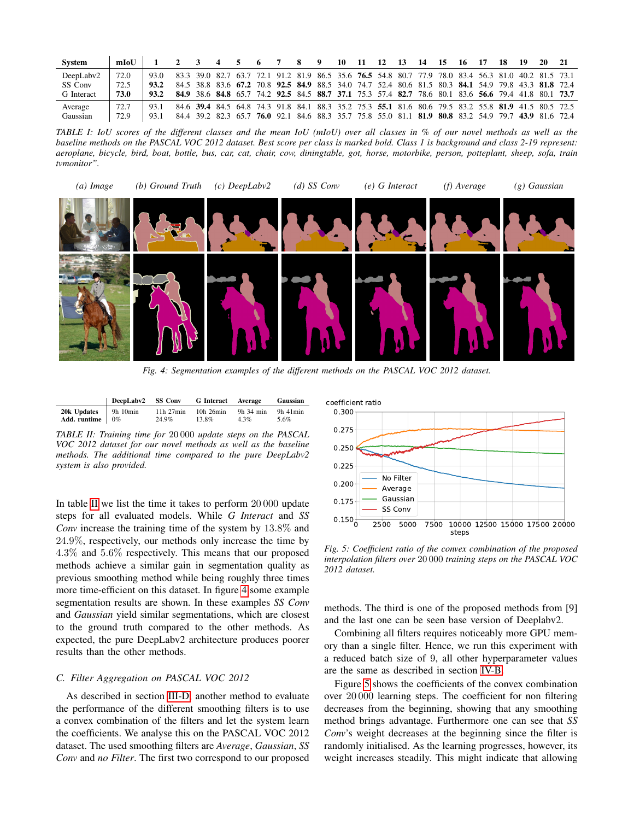<span id="page-3-0"></span>

| <b>System</b>     | mIoU |      |                |       | <sup>0</sup> |                                                                                                     | - 9            | 10 | -11       | 12        | 13 | -14  | 15                  | -16 | 17 | 18 | 19 | 20                                                                    |  |
|-------------------|------|------|----------------|-------|--------------|-----------------------------------------------------------------------------------------------------|----------------|----|-----------|-----------|----|------|---------------------|-----|----|----|----|-----------------------------------------------------------------------|--|
| DeepLaby2         | 72.0 | 93.0 | 83.3 39.0 82.7 | -63.7 |              | 72.1 91.2 81.9 86.5 35.6 <b>76.5</b> 54.8 80.7 77.9 78.0 83.4 56.3 81.0 40.2 81.5 73.1              |                |    |           |           |    |      |                     |     |    |    |    |                                                                       |  |
| SS Conv           | 72.5 | 93.2 |                |       |              | 84.5 38.8 83.6 67.2 70.8 92.5 84.9 88.5 34.0 74.7 52.4                                              |                |    |           |           |    |      |                     |     |    |    |    | 80.6 81.5 80.3 84.1 54.9 79.8 43.3 81.8 72.4                          |  |
| <b>G</b> Interact | 73.0 | 93.2 |                |       |              | 84.9 38.6 84.8 65.7 74.2 92.5 84.5 88.7 37.1 75.3 57.4 82.7 78.6 80.1 83.6 56.6 79.4 41.8 80.1 73.7 |                |    |           |           |    |      |                     |     |    |    |    |                                                                       |  |
| Average           | 72.7 | 93.1 |                |       |              | 84.6 39.4 84.5 64.8 74.3 91.8                                                                       |                |    |           |           |    |      |                     |     |    |    |    | 84.1 88.3 35.2 75.3 55.1 81.6 80.6 79.5 83.2 55.8 81.9 41.5 80.5 72.5 |  |
| Gaussian          | 72.9 | 93.1 | 84.4 39.2 82.3 | -65.7 |              | 76.0 92.1                                                                                           | 84.6 88.3 35.7 |    | ., 75.8 7 | 55.0 81.1 |    | 81.9 | 80.8 83.2 54.9 79.7 |     |    |    |    | 43.9 81.6 72.4                                                        |  |

*TABLE I: IoU scores of the different classes and the mean IoU (mIoU) over all classes in % of our novel methods as well as the baseline methods on the PASCAL VOC 2012 dataset. Best score per class is marked bold. Class 1 is background and class 2-19 represent: aeroplane, bicycle, bird, boat, bottle, bus, car, cat, chair, cow, diningtable, got, horse, motorbike, person, potteplant, sheep, sofa, train tvmonitor".*

<span id="page-3-2"></span>

*Fig. 4: Segmentation examples of the different methods on the PASCAL VOC 2012 dataset.*

<span id="page-3-1"></span>

|                                    | DeepLabv2 SS Conv |               | G Interact Average Gaussian |           |          |
|------------------------------------|-------------------|---------------|-----------------------------|-----------|----------|
| $20k$ Updates $\parallel$ 9h 10min |                   | $11h$ $27min$ | 10h 26min                   | 9h 34 min | 9h 41min |
| Add. runtime $\vert 0\% \vert$     |                   | 24.9%         | 13.8%                       | $4.3\%$   | 5.6%     |

*TABLE II: Training time for* 20 000 *update steps on the PASCAL VOC 2012 dataset for our novel methods as well as the baseline methods. The additional time compared to the pure DeepLabv2 system is also provided.*

In table [II](#page-3-1) we list the time it takes to perform 20 000 update steps for all evaluated models. While *G Interact* and *SS Conv* increase the training time of the system by 13.8% and 24.9%, respectively, our methods only increase the time by 4.3% and 5.6% respectively. This means that our proposed methods achieve a similar gain in segmentation quality as previous smoothing method while being roughly three times more time-efficient on this dataset. In figure [4](#page-3-2) some example segmentation results are shown. In these examples *SS Conv* and *Gaussian* yield similar segmentations, which are closest to the ground truth compared to the other methods. As expected, the pure DeepLabv2 architecture produces poorer results than the other methods. *Com* increase the training time of the system by 13.8% and<br>
24.9%, respectively, con rechods only increase the time by<br>
4.43% and 5.6% respectively. This means that our proposed<br> *Fig. 5: Coefficient ratio of the convex c* 

# *C. Filter Aggregation on PASCAL VOC 2012*

As described in section [III-D,](#page-2-2) another method to evaluate the performance of the different smoothing filters is to use a convex combination of the filters and let the system learn the coefficients. We analyse this on the PASCAL VOC 2012 dataset. The used smoothing filters are *Average*, *Gaussian*, *SS*

<span id="page-3-3"></span>

*Fig. 5: Coefficient ratio of the convex combination of the proposed interpolation filters over* 20 000 *training steps on the PASCAL VOC 2012 dataset.*

methods. The third is one of the proposed methods from [9] and the last one can be seen base version of Deeplabv2.

Combining all filters requires noticeably more GPU memory than a single filter. Hence, we run this experiment with a reduced batch size of 9, all other hyperparameter values are the same as described in section [IV-B.](#page-2-3)

Figure [5](#page-3-3) shows the coefficients of the convex combination over 20 000 learning steps. The coefficient for non filtering decreases from the beginning, showing that any smoothing method brings advantage. Furthermore one can see that *SS Conv*'s weight decreases at the beginning since the filter is randomly initialised. As the learning progresses, however, its weight increases steadily. This might indicate that allowing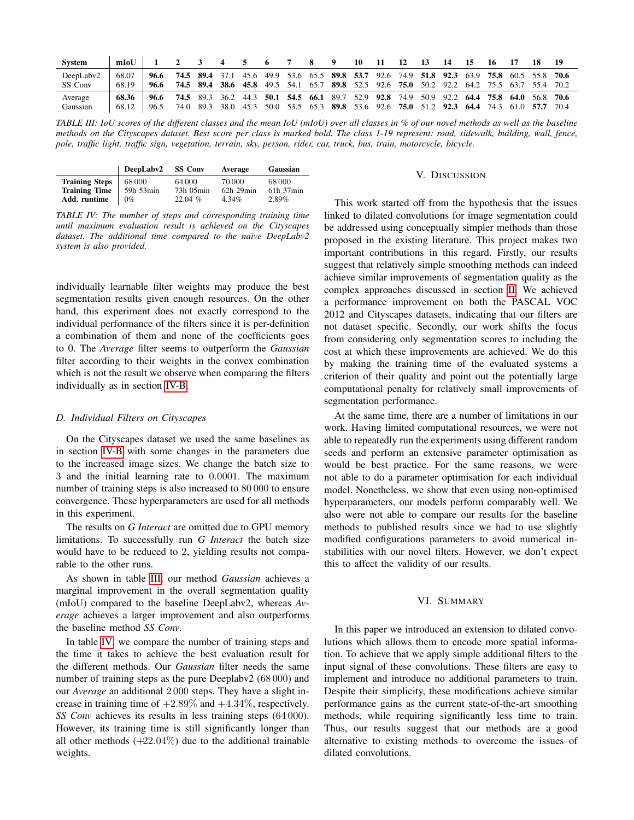<span id="page-4-2"></span>

| <b>System</b> | mIoU  |      |      |           |      |      |           |                                 |      | u    | 10                                                     | п              |      |      |      |           |      |                               |           |      |
|---------------|-------|------|------|-----------|------|------|-----------|---------------------------------|------|------|--------------------------------------------------------|----------------|------|------|------|-----------|------|-------------------------------|-----------|------|
| DeepLaby2     | 68.07 | 96.6 | 74.5 | 89.4 37.1 |      | 45.6 |           |                                 |      |      | 49.9 53.6 65.5 89.8 53.7 92.6 74.9 51.8 92.3 63.9 75.8 |                |      |      |      |           |      | 60.5 55.8 70.6                |           |      |
| SS Conv       | 68.19 | 96.6 | 74.5 | 89.4      | 38.6 | 45.8 | 49.5 54.1 |                                 | 65.7 | 89.8 |                                                        | 52.5 92.6 75.0 |      | 50.2 | 92.2 | 64.2 75.5 |      | 63.7                          | 55.4 70.2 |      |
| Average       | 68.36 | 96.6 | 74.5 | 89.3      | 36.2 |      |           | 44.3 <b>50.1 54.5 66.1</b> 89.7 |      |      | 52.9 92.8 74.9                                         |                |      | 50.9 |      |           |      | 92.2 64.4 75.8 64.0 56.8 70.6 |           |      |
| Gaussian      | 68.12 | 96.5 | 74.0 | 89.3      | 38.0 | 45.3 | 50.0      | 53.5                            | 65.3 | 89.8 |                                                        | 53.6 92.6      | 75.0 | 51.2 | 92.3 | 64.4      | 74.3 | 61.0                          |           | 70.4 |

*TABLE III: IoU scores of the different classes and the mean IoU (mIoU) over all classes in % of our novel methods as well as the baseline methods on the Cityscapes dataset. Best score per class is marked bold. The class 1-19 represent: road, sidewalk, building, wall, fence, pole, traffic light, traffic sign, vegetation, terrain, sky, person, rider, car, truck, bus, train, motorcycle, bicycle.*

<span id="page-4-3"></span>

|                                               | DeepLabv2           | <b>SS Conv</b>      | Average                  | Gaussian                |
|-----------------------------------------------|---------------------|---------------------|--------------------------|-------------------------|
| <b>Training Steps</b><br><b>Training Time</b> | 68 000<br>59h 53min | 64 000<br>73h 05min | 70 000<br>$62h$ 29 $min$ | 68000<br>$61h$ 37 $min$ |
| Add. runtime                                  | $0\%$               | 22.04%              | $4.34\%$                 | 2.89%                   |

*TABLE IV: The number of steps and corresponding training time until maximum evaluation result is achieved on the Cityscapes dataset. The additional time compared to the naive DeepLabv2 system is also provided.*

individually learnable filter weights may produce the best segmentation results given enough resources. On the other hand, this experiment does not exactly correspond to the individual performance of the filters since it is per-definition a combination of them and none of the coefficients goes to 0. The *Average* filter seems to outperform the *Gaussian* filter according to their weights in the convex combination which is not the result we observe when comparing the filters individually as in section [IV-B.](#page-2-3)

# *D. Individual Filters on Cityscapes*

On the Cityscapes dataset we used the same baselines as in section [IV-B](#page-2-3) with some changes in the parameters due to the increased image sizes. We change the batch size to 3 and the initial learning rate to 0.0001. The maximum number of training steps is also increased to 80 000 to ensure convergence. These hyperparameters are used for all methods in this experiment.

The results on *G Interact* are omitted due to GPU memory limitations. To successfully run *G Interact* the batch size would have to be reduced to 2, yielding results not comparable to the other runs.

As shown in table [III,](#page-4-2) our method *Gaussian* achieves a marginal improvement in the overall segmentation quality (mIoU) compared to the baseline DeepLabv2, whereas *Average* achieves a larger improvement and also outperforms the baseline method *SS Conv*.

In table [IV,](#page-4-3) we compare the number of training steps and the time it takes to achieve the best evaluation result for the different methods. Our *Gaussian* filter needs the same number of training steps as the pure Deeplabv2 (68 000) and our *Average* an additional 2 000 steps. They have a slight increase in training time of  $+2.89\%$  and  $+4.34\%$ , respectively. *SS Conv* achieves its results in less training steps (64 000). However, its training time is still significantly longer than all other methods  $(+22.04\%)$  due to the additional trainable weights.

#### V. DISCUSSION

<span id="page-4-0"></span>This work started off from the hypothesis that the issues linked to dilated convolutions for image segmentation could be addressed using conceptually simpler methods than those proposed in the existing literature. This project makes two important contributions in this regard. Firstly, our results suggest that relatively simple smoothing methods can indeed achieve similar improvements of segmentation quality as the complex approaches discussed in section [II.](#page-1-0) We achieved a performance improvement on both the PASCAL VOC 2012 and Cityscapes datasets, indicating that our filters are not dataset specific. Secondly, our work shifts the focus from considering only segmentation scores to including the cost at which these improvements are achieved. We do this by making the training time of the evaluated systems a criterion of their quality and point out the potentially large computational penalty for relatively small improvements of segmentation performance.

At the same time, there are a number of limitations in our work. Having limited computational resources, we were not able to repeatedly run the experiments using different random seeds and perform an extensive parameter optimisation as would be best practice. For the same reasons, we were not able to do a parameter optimisation for each individual model. Nonetheless, we show that even using non-optimised hyperparameters, our models perform comparably well. We also were not able to compare our results for the baseline methods to published results since we had to use slightly modified configurations parameters to avoid numerical instabilities with our novel filters. However, we don't expect this to affect the validity of our results.

## VI. SUMMARY

<span id="page-4-1"></span>In this paper we introduced an extension to dilated convolutions which allows them to encode more spatial information. To achieve that we apply simple additional filters to the input signal of these convolutions. These filters are easy to implement and introduce no additional parameters to train. Despite their simplicity, these modifications achieve similar performance gains as the current state-of-the-art smoothing methods, while requiring significantly less time to train. Thus, our results suggest that our methods are a good alternative to existing methods to overcome the issues of dilated convolutions.